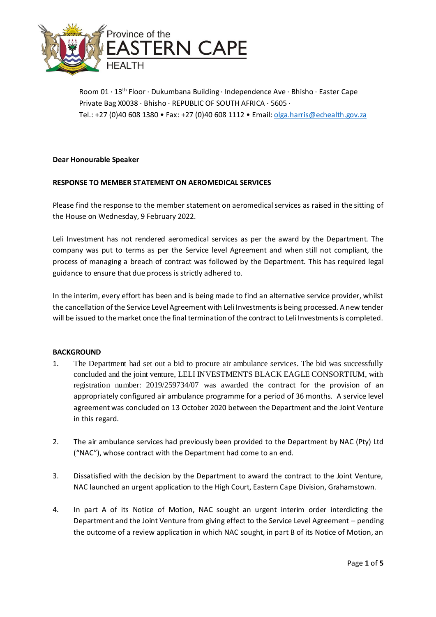

Room 01 · 13th Floor · Dukumbana Building · Independence Ave · Bhisho · Easter Cape Private Bag X0038 · Bhisho · REPUBLIC OF SOUTH AFRICA · 5605 · Tel.: +27 (0)40 608 1380 • Fax: +27 (0)40 608 1112 • Email: olga.harris@echealth.gov.za

# **Dear Honourable Speaker**

# **RESPONSE TO MEMBER STATEMENT ON AEROMEDICAL SERVICES**

Please find the response to the member statement on aeromedical services as raised in the sitting of the House on Wednesday, 9 February 2022.

Leli Investment has not rendered aeromedical services as per the award by the Department. The company was put to terms as per the Service level Agreement and when still not compliant, the process of managing a breach of contract was followed by the Department. This has required legal guidance to ensure that due process is strictly adhered to.

In the interim, every effort has been and is being made to find an alternative service provider, whilst the cancellation of the Service Level Agreement with Leli Investments is being processed. A new tender will be issued to the market once the final termination of the contract to Leli Investments is completed.

## **BACKGROUND**

- 1. The Department had set out a bid to procure air ambulance services. The bid was successfully concluded and the joint venture, LELI INVESTMENTS BLACK EAGLE CONSORTIUM, with registration number: 2019/259734/07 was awarded the contract for the provision of an appropriately configured air ambulance programme for a period of 36 months. A service level agreement was concluded on 13 October 2020 between the Department and the Joint Venture in this regard.
- 2. The air ambulance services had previously been provided to the Department by NAC (Pty) Ltd ("NAC"), whose contract with the Department had come to an end.
- 3. Dissatisfied with the decision by the Department to award the contract to the Joint Venture, NAC launched an urgent application to the High Court, Eastern Cape Division, Grahamstown.
- 4. In part A of its Notice of Motion, NAC sought an urgent interim order interdicting the Department and the Joint Venture from giving effect to the Service Level Agreement – pending the outcome of a review application in which NAC sought, in part B of its Notice of Motion, an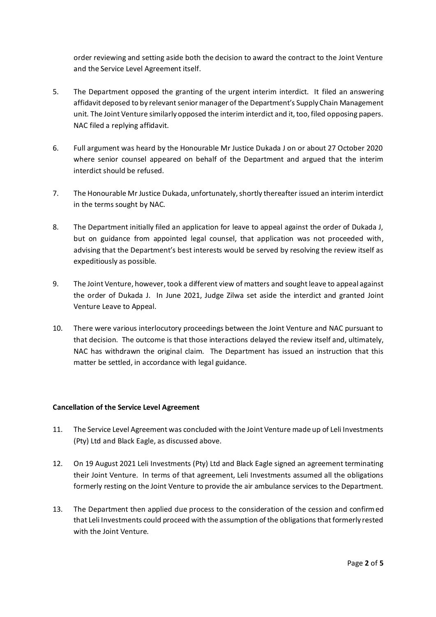order reviewing and setting aside both the decision to award the contract to the Joint Venture and the Service Level Agreement itself.

- 5. The Department opposed the granting of the urgent interim interdict. It filed an answering affidavit deposed to by relevant senior manager of the Department's Supply Chain Management unit. The Joint Venture similarly opposed the interim interdict and it, too, filed opposing papers. NAC filed a replying affidavit.
- 6. Full argument was heard by the Honourable Mr Justice Dukada J on or about 27 October 2020 where senior counsel appeared on behalf of the Department and argued that the interim interdict should be refused.
- 7. The Honourable Mr Justice Dukada, unfortunately, shortly thereafter issued an interim interdict in the terms sought by NAC.
- 8. The Department initially filed an application for leave to appeal against the order of Dukada J, but on guidance from appointed legal counsel, that application was not proceeded with, advising that the Department's best interests would be served by resolving the review itself as expeditiously as possible.
- 9. The Joint Venture, however, took a different view of matters and sought leave to appeal against the order of Dukada J. In June 2021, Judge Zilwa set aside the interdict and granted Joint Venture Leave to Appeal.
- 10. There were various interlocutory proceedings between the Joint Venture and NAC pursuant to that decision. The outcome is that those interactions delayed the review itself and, ultimately, NAC has withdrawn the original claim. The Department has issued an instruction that this matter be settled, in accordance with legal guidance.

## **Cancellation of the Service Level Agreement**

- 11. The Service Level Agreement was concluded with the Joint Venture made up of Leli Investments (Pty) Ltd and Black Eagle, as discussed above.
- 12. On 19 August 2021 Leli Investments (Pty) Ltd and Black Eagle signed an agreement terminating their Joint Venture. In terms of that agreement, Leli Investments assumed all the obligations formerly resting on the Joint Venture to provide the air ambulance services to the Department.
- 13. The Department then applied due process to the consideration of the cession and confirmed that Leli Investments could proceed with the assumption of the obligations that formerly rested with the Joint Venture.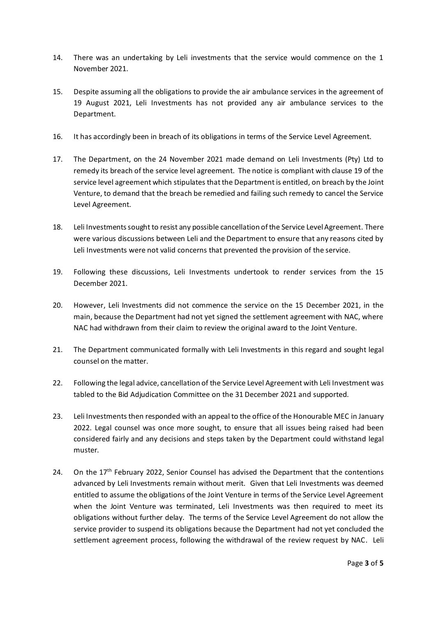- 14. There was an undertaking by Leli investments that the service would commence on the 1 November 2021.
- 15. Despite assuming all the obligations to provide the air ambulance services in the agreement of 19 August 2021, Leli Investments has not provided any air ambulance services to the Department.
- 16. It has accordingly been in breach of its obligations in terms of the Service Level Agreement.
- 17. The Department, on the 24 November 2021 made demand on Leli Investments (Pty) Ltd to remedy its breach of the service level agreement. The notice is compliant with clause 19 of the service level agreement which stipulates that the Department is entitled, on breach by the Joint Venture, to demand that the breach be remedied and failing such remedy to cancel the Service Level Agreement.
- 18. Leli Investments sought to resist any possible cancellation of the Service Level Agreement. There were various discussions between Leli and the Department to ensure that any reasons cited by Leli Investments were not valid concerns that prevented the provision of the service.
- 19. Following these discussions, Leli Investments undertook to render services from the 15 December 2021.
- 20. However, Leli Investments did not commence the service on the 15 December 2021, in the main, because the Department had not yet signed the settlement agreement with NAC, where NAC had withdrawn from their claim to review the original award to the Joint Venture.
- 21. The Department communicated formally with Leli Investments in this regard and sought legal counsel on the matter.
- 22. Following the legal advice, cancellation of the Service Level Agreement with Leli Investment was tabled to the Bid Adjudication Committee on the 31 December 2021 and supported.
- 23. Leli Investments then responded with an appeal to the office of the Honourable MEC in January 2022. Legal counsel was once more sought, to ensure that all issues being raised had been considered fairly and any decisions and steps taken by the Department could withstand legal muster.
- 24. On the  $17<sup>th</sup>$  February 2022, Senior Counsel has advised the Department that the contentions advanced by Leli Investments remain without merit. Given that Leli Investments was deemed entitled to assume the obligations of the Joint Venture in terms of the Service Level Agreement when the Joint Venture was terminated, Leli Investments was then required to meet its obligations without further delay. The terms of the Service Level Agreement do not allow the service provider to suspend its obligations because the Department had not yet concluded the settlement agreement process, following the withdrawal of the review request by NAC. Leli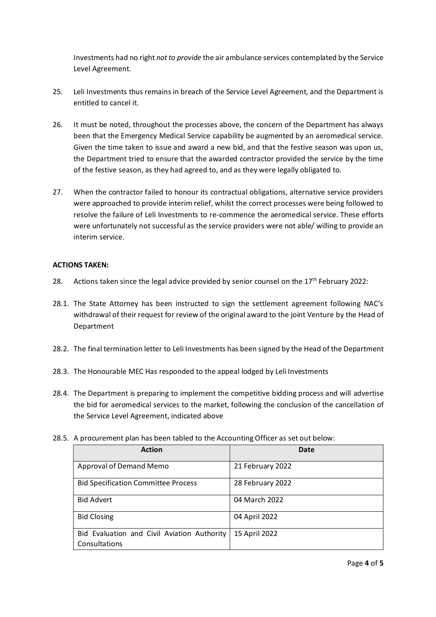Investments had no right *not to provide* the air ambulance services contemplated by the Service Level Agreement.

- 25. Leli Investments thus remains in breach of the Service Level Agreement, and the Department is entitled to cancel it.
- 26. It must be noted, throughout the processes above, the concern of the Department has always been that the Emergency Medical Service capability be augmented by an aeromedical service. Given the time taken to issue and award a new bid, and that the festive season was upon us, the Department tried to ensure that the awarded contractor provided the service by the time of the festive season, as they had agreed to, and as they were legally obligated to.
- 27. When the contractor failed to honour its contractual obligations, alternative service providers were approached to provide interim relief, whilst the correct processes were being followed to resolve the failure of Leli Investments to re-commence the aeromedical service. These efforts were unfortunately not successful as the service providers were not able/ willing to provide an interim service.

# **ACTIONS TAKEN:**

- 28. Actions taken since the legal advice provided by senior counsel on the  $17<sup>th</sup>$  February 2022:
- 28.1. The State Attorney has been instructed to sign the settlement agreement following NAC's withdrawal of their request for review of the original award to the joint Venture by the Head of Department
- 28.2. The final termination letter to Leli Investments has been signed by the Head of the Department
- 28.3. The Honourable MEC Has responded to the appeal lodged by Leli Investments
- 28.4. The Department is preparing to implement the competitive bidding process and will advertise the bid for aeromedical services to the market, following the conclusion of the cancellation of the Service Level Agreement, indicated above
- 28.5. A procurement plan has been tabled to the Accounting Officer as set out below:

| <b>Action</b>                                                | Date             |
|--------------------------------------------------------------|------------------|
| Approval of Demand Memo                                      | 21 February 2022 |
| <b>Bid Specification Committee Process</b>                   | 28 February 2022 |
| <b>Bid Advert</b>                                            | 04 March 2022    |
| <b>Bid Closing</b>                                           | 04 April 2022    |
| Bid Evaluation and Civil Aviation Authority<br>Consultations | 15 April 2022    |